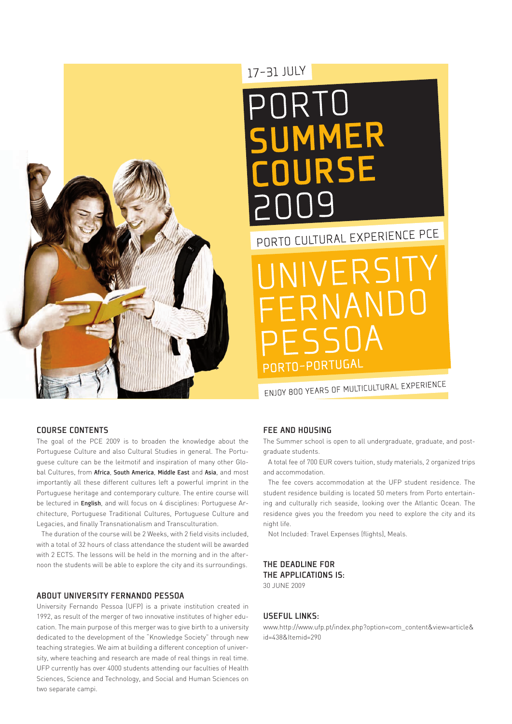

# 17-31 JULY

# PORTO UMMER **NIIRSE**

PORTO CULTURAL EXPERIENCE PCE

JIVERSITY FERNANDO FSSOA -<br>PORTO-PORTUGAL

ENJOY 800 YEARS OF MULTICULTURAL EXPERIENCE

# Course Contents

The goal of the PCE 2009 is to broaden the knowledge about the Portuguese Culture and also Cultural Studies in general. The Portuguese culture can be the leitmotif and inspiration of many other Global Cultures, from Africa, South America, Middle East and Asia, and most importantly all these different cultures left a powerful imprint in the Portuguese heritage and contemporary culture. The entire course will be lectured in English, and will focus on 4 disciplines: Portuguese Architecture, Portuguese Traditional Cultures, Portuguese Culture and Legacies, and finally Transnationalism and Transculturation.

The duration of the course will be 2 Weeks, with 2 field visits included, with a total of 32 hours of class attendance the student will be awarded with 2 ECTS. The lessons will be held in the morning and in the afternoon the students will be able to explore the city and its surroundings.

## About University Fernando Pessoa

University Fernando Pessoa (UFP) is a private institution created in 1992, as result of the merger of two innovative institutes of higher education. The main purpose of this merger was to give birth to a university dedicated to the development of the "Knowledge Society" through new teaching strategies. We aim at building a different conception of university, where teaching and research are made of real things in real time. UFP currently has over 4000 students attending our faculties of Health Sciences, Science and Technology, and Social and Human Sciences on two separate campi.

# Fee and Housing

The Summer school is open to all undergraduate, graduate, and postgraduate students.

A total fee of 700 EUR covers tuition, study materials, 2 organized trips and accommodation.

The fee covers accommodation at the UFP student residence. The student residence building is located 50 meters from Porto entertaining and culturally rich seaside, looking over the Atlantic Ocean. The residence gives you the freedom you need to explore the city and its night life.

Not Included: Travel Expenses (flights), Meals.

# The Deadline for THE APPLICATIONS  $IS:$ 30 June 2009

# Useful links:

www.http://www.ufp.pt/index.php?option=com\_content&view=article& id=438&Itemid=290